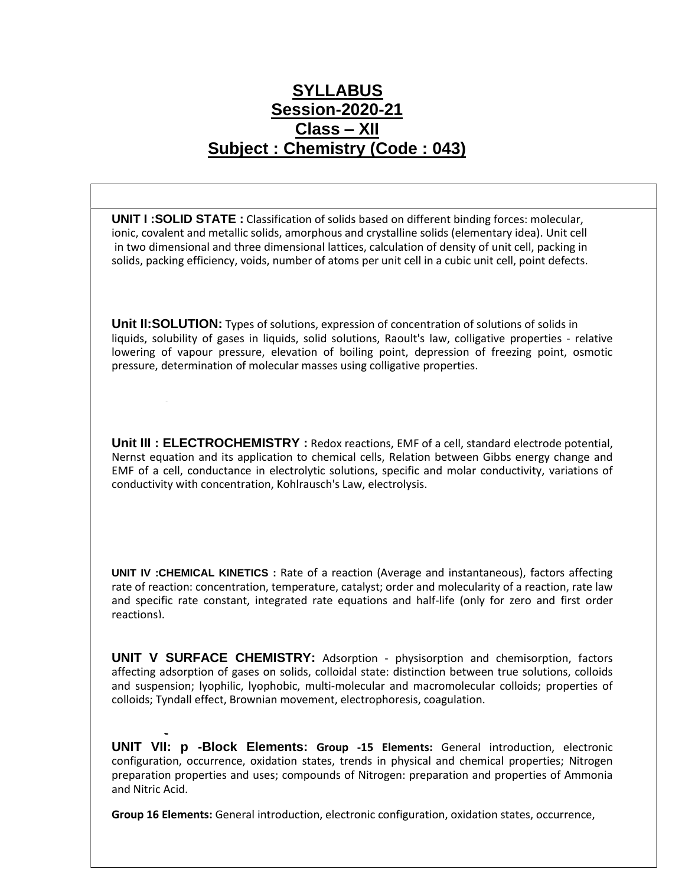## **SYLLABUS Session-2020-21 Class – XII Subject : Chemistry (Code : 043)**

**UNIT I :SOLID STATE :** Classification of solids based on different binding forces: molecular, ionic, covalent and metallic solids, amorphous and crystalline solids (elementary idea). Unit cell in two dimensional and three dimensional lattices, calculation of density of unit cell, packing in solids, packing efficiency, voids, number of atoms per unit cell in a cubic unit cell, point defects.

**Unit II:SOLUTION:** Types of solutions, expression of concentration of solutions of solids in liquids, solubility of gases in liquids, solid solutions, Raoult's law, colligative properties ‐ relative lowering of vapour pressure, elevation of boiling point, depression of freezing point, osmotic pressure, determination of molecular masses using colligative properties.

**Unit III : ELECTROCHEMISTRY :** Redox reactions, EMF of a cell, standard electrode potential, Nernst equation and its application to chemical cells, Relation between Gibbs energy change and EMF of a cell, conductance in electrolytic solutions, specific and molar conductivity, variations of conductivity with concentration, Kohlrausch's Law, electrolysis.

**UNIT IV :CHEMICAL KINETICS :** Rate of a reaction (Average and instantaneous), factors affecting rate of reaction: concentration, temperature, catalyst; order and molecularity of a reaction, rate law and specific rate constant, integrated rate equations and half‐life (only for zero and first order reactions).

**UNIT V SURFACE CHEMISTRY:** Adsorption ‐ physisorption and chemisorption, factors affecting adsorption of gases on solids, colloidal state: distinction between true solutions, colloids and suspension; lyophilic, lyophobic, multi-molecular and macromolecular colloids; properties of colloids; Tyndall effect, Brownian movement, electrophoresis, coagulation.

**UNIT VII: p -Block Elements: Group ‐15 Elements:** General introduction, electronic configuration, occurrence, oxidation states, trends in physical and chemical properties; Nitrogen preparation properties and uses; compounds of Nitrogen: preparation and properties of Ammonia and Nitric Acid.

**NCERT Questions**

**Group 16 Elements:** General introduction, electronic configuration, oxidation states, occurrence,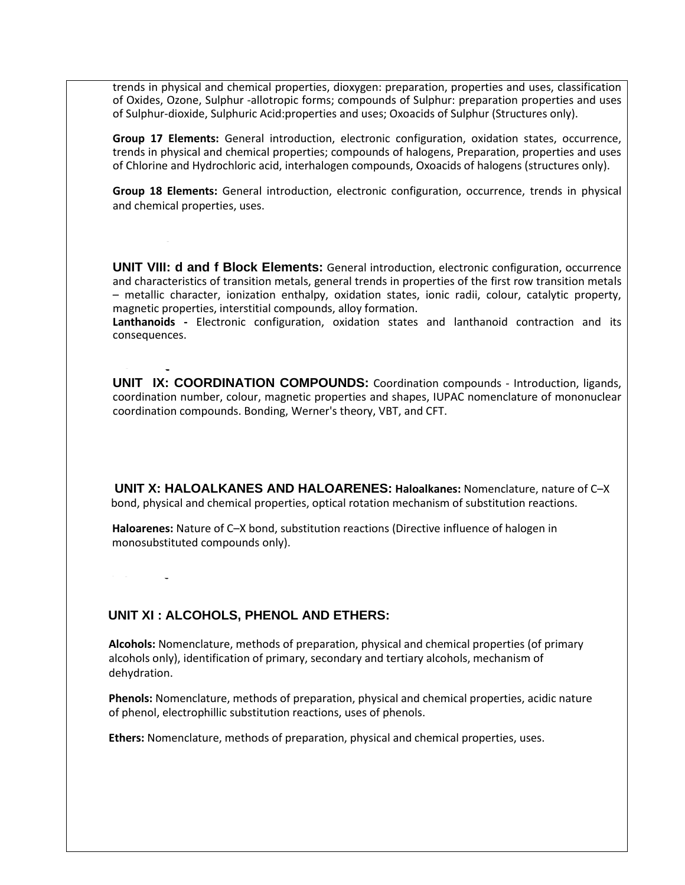trends in physical and chemical properties, dioxygen: preparation, properties and uses, classification of Oxides, Ozone, Sulphur ‐allotropic forms; compounds of Sulphur: preparation properties and uses of Sulphur‐dioxide, Sulphuric Acid:properties and uses; Oxoacids of Sulphur (Structures only).

**Group 17 Elements:** General introduction, electronic configuration, oxidation states, occurrence, trends in physical and chemical properties; compounds of halogens, Preparation, properties and uses of Chlorine and Hydrochloric acid, interhalogen compounds, Oxoacids of halogens (structures only).

**Group 18 Elements:** General introduction, electronic configuration, occurrence, trends in physical and chemical properties, uses.

**UNIT VIII: d and f Block Elements:** General introduction, electronic configuration, occurrence and characteristics of transition metals, general trends in properties of the first row transition metals – metallic character, ionization enthalpy, oxidation states, ionic radii, colour, catalytic property, magnetic properties, interstitial compounds, alloy formation.

**Lanthanoids ‐** Electronic configuration, oxidation states and lanthanoid contraction and its consequences.

**UNIT IX: COORDINATION COMPOUNDS:** Coordination compounds ‐ Introduction, ligands, coordination number, colour, magnetic properties and shapes, IUPAC nomenclature of mononuclear coordination compounds. Bonding, Werner's theory, VBT, and CFT.

 **UNIT X: HALOALKANES AND HALOARENES: Haloalkanes:** Nomenclature, nature of C–X bond, physical and chemical properties, optical rotation mechanism of substitution reactions.

 **Haloarenes:** Nature of C–X bond, substitution reactions (Directive influence of halogen in monosubstituted compounds only).

 **NCERT QUESTIONS** 

**NCERT Questions**

#### **UNIT XI : ALCOHOLS, PHENOL AND ETHERS:**

 **Alcohols:** Nomenclature, methods of preparation, physical and chemical properties (of primary alcohols only), identification of primary, secondary and tertiary alcohols, mechanism of dehydration.

 **Phenols:** Nomenclature, methods of preparation, physical and chemical properties, acidic nature of phenol, electrophillic substitution reactions, uses of phenols.

 **Ethers:** Nomenclature, methods of preparation, physical and chemical properties, uses.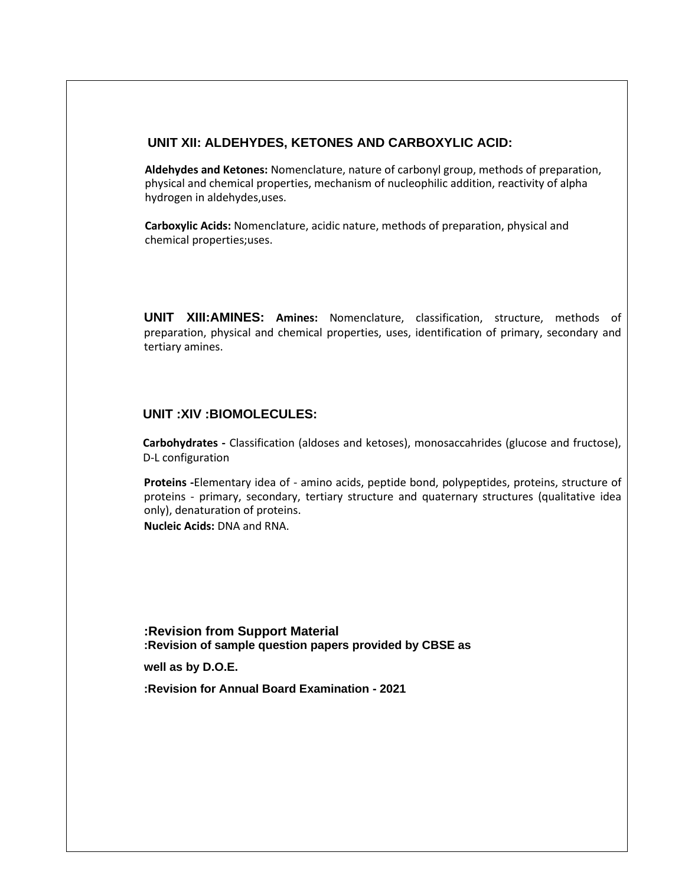#### **UNIT XII: ALDEHYDES, KETONES AND CARBOXYLIC ACID:**

 **Aldehydes and Ketones:** Nomenclature, nature of carbonyl group, methods of preparation, physical and chemical properties, mechanism of nucleophilic addition, reactivity of alpha hydrogen in aldehydes,uses.

 **Carboxylic Acids:** Nomenclature, acidic nature, methods of preparation, physical and chemical properties;uses.

**UNIT XIII:AMINES: Amines:** Nomenclature, classification, structure, methods of preparation, physical and chemical properties, uses, identification of primary, secondary and tertiary amines.

#### **UNIT :XIV :BIOMOLECULES:**

**Carbohydrates ‐** Classification (aldoses and ketoses), monosaccahrides (glucose and fructose), D‐L configuration

**Proteins ‐**Elementary idea of ‐ amino acids, peptide bond, polypeptides, proteins, structure of proteins ‐ primary, secondary, tertiary structure and quaternary structures (qualitative idea only), denaturation of proteins.

**Nucleic Acids:** DNA and RNA.

**:Revision from Support Material :Revision of sample question papers provided by CBSE as** 

**well as by D.O.E.** 

**:Revision for Annual Board Examination - 2021**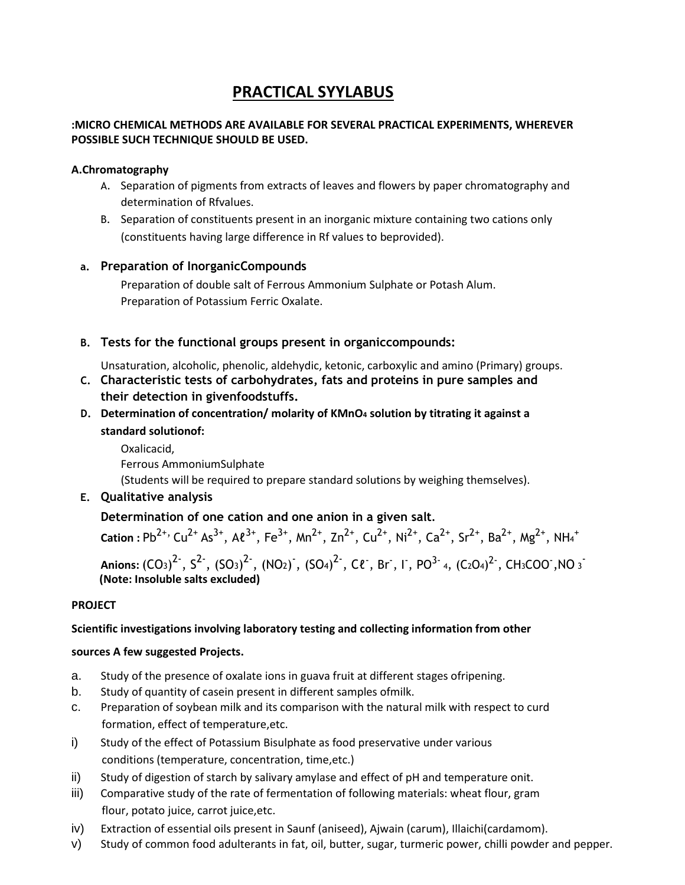### **PRACTICAL SYYLABUS**

#### **:MICRO CHEMICAL METHODS ARE AVAILABLE FOR SEVERAL PRACTICAL EXPERIMENTS, WHEREVER POSSIBLE SUCH TECHNIQUE SHOULD BE USED.**

#### **A.Chromatography**

- A. Separation of pigments from extracts of leaves and flowers by paper chromatography and determination of Rfvalues.
- B. Separation of constituents present in an inorganic mixture containing two cations only (constituents having large difference in Rf values to beprovided).

#### **a. Preparation of InorganicCompounds**

Preparation of double salt of Ferrous Ammonium Sulphate or Potash Alum. Preparation of Potassium Ferric Oxalate.

- **B. Tests for the functional groups present in organiccompounds:**
- Unsaturation, alcoholic, phenolic, aldehydic, ketonic, carboxylic and amino (Primary) groups.
- **C. Characteristic tests of carbohydrates, fats and proteins in pure samples and their detection in givenfoodstuffs.**
- **D. Determination of concentration/ molarity of KMnO<sup>4</sup> solution by titrating it against a standard solutionof:**

Oxalicacid, Ferrous AmmoniumSulphate (Students will be required to prepare standard solutions by weighing themselves).

**E. Qualitative analysis**

#### **Determination of one cation and one anion in a given salt.**

**Cation :**  $Pb^{2+}$ ,  $Cu^{2+} As^{3+}$ ,  $A\ell^{3+}$ ,  $Fe^{3+}$ ,  $Mn^{2+}$ ,  $Zn^{2+}$ ,  $Cu^{2+}$ ,  $Ni^{2+}$ ,  $Ca^{2+}$ ,  $Sr^{2+}$ ,  $Ba^{2+}$ ,  $Mg^{2+}$ ,  $NH_4$ <sup>+</sup> **Anions:**  $(CO_3)^2$  ,  $S^2$  ,  $(SO_3)^2$  ,  $(NO_2)$  ,  $(SO_4)^2$  ,  $C\ell$  , Br , I , PO $^{3-}$  4,  $(C_2O_4)^2$  ,  $CH_3COO$  ,NO  $_3$ **(Note: Insoluble salts excluded)**

#### **PROJECT**

#### **Scientific investigations involving laboratory testing and collecting information from other**

#### **sources A few suggested Projects.**

- a. Study of the presence of oxalate ions in guava fruit at different stages ofripening.
- b. Study of quantity of casein present in different samples ofmilk.
- c. Preparation of soybean milk and its comparison with the natural milk with respect to curd formation, effect of temperature,etc.
- i) Study of the effect of Potassium Bisulphate as food preservative under various conditions (temperature, concentration, time,etc.)
- ii) Study of digestion of starch by salivary amylase and effect of pH and temperature onit.
- iii) Comparative study of the rate of fermentation of following materials: wheat flour, gram flour, potato juice, carrot juice,etc.
- iv) Extraction of essential oils present in Saunf (aniseed), Ajwain (carum), Illaichi(cardamom).
- v) Study of common food adulterants in fat, oil, butter, sugar, turmeric power, chilli powder and pepper.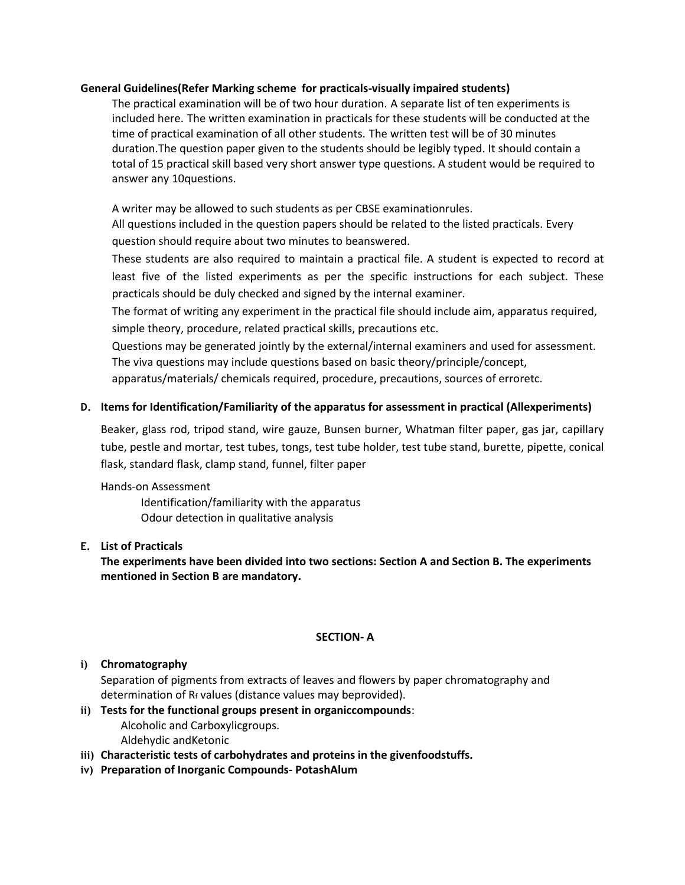#### **General Guidelines(Refer Marking scheme for practicals-visually impaired students)**

The practical examination will be of two hour duration. A separate list of ten experiments is included here. The written examination in practicals for these students will be conducted at the time of practical examination of all other students. The written test will be of 30 minutes duration.The question paper given to the students should be legibly typed. It should contain a total of 15 practical skill based very short answer type questions. A student would be required to answer any 10questions.

A writer may be allowed to such students as per CBSE examinationrules.

All questions included in the question papers should be related to the listed practicals. Every question should require about two minutes to beanswered.

These students are also required to maintain a practical file. A student is expected to record at least five of the listed experiments as per the specific instructions for each subject. These practicals should be duly checked and signed by the internal examiner.

The format of writing any experiment in the practical file should include aim, apparatus required, simple theory, procedure, related practical skills, precautions etc.

Questions may be generated jointly by the external/internal examiners and used for assessment. The viva questions may include questions based on basic theory/principle/concept,

apparatus/materials/ chemicals required, procedure, precautions, sources of erroretc.

#### **D. Items for Identification/Familiarity of the apparatus for assessment in practical (Allexperiments)**

Beaker, glass rod, tripod stand, wire gauze, Bunsen burner, Whatman filter paper, gas jar, capillary tube, pestle and mortar, test tubes, tongs, test tube holder, test tube stand, burette, pipette, conical flask, standard flask, clamp stand, funnel, filter paper

#### Hands‐on Assessment

Identification/familiarity with the apparatus Odour detection in qualitative analysis

#### **E. List of Practicals**

**The experiments have been divided into two sections: Section A and Section B. The experiments mentioned in Section B are mandatory.**

#### **SECTION‐ A**

#### **i) Chromatography**

Separation of pigments from extracts of leaves and flowers by paper chromatography and determination of Rf values (distance values may beprovided).

### **ii) Tests for the functional groups present in organiccompounds**:

Alcoholic and Carboxylicgroups. Aldehydic andKetonic

- **iii) Characteristic tests of carbohydrates and proteins in the givenfoodstuffs.**
- **iv) Preparation of Inorganic Compounds‐ PotashAlum**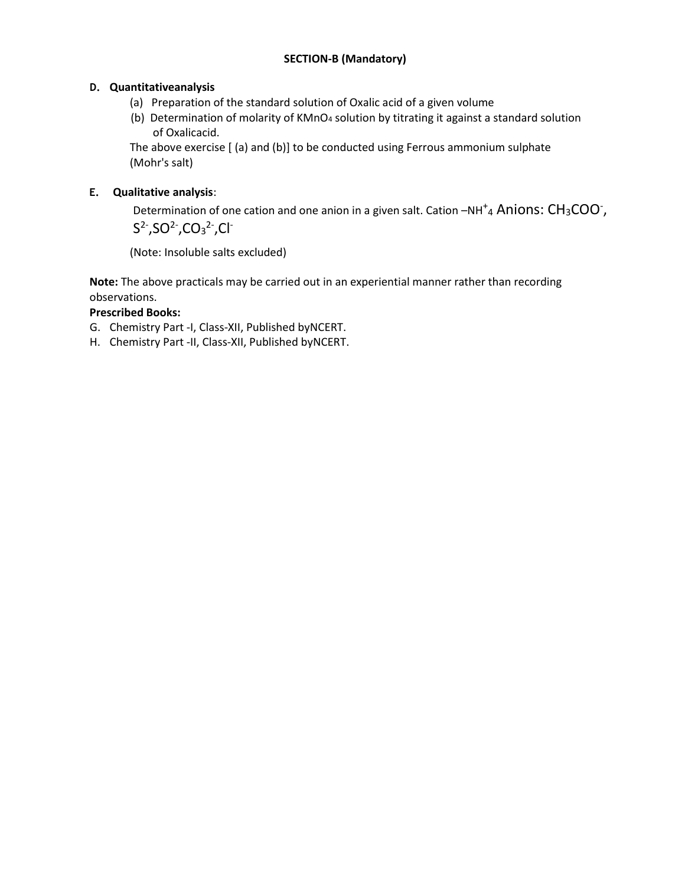#### **SECTION‐B (Mandatory)**

#### **D. Quantitativeanalysis**

- (a) Preparation of the standard solution of Oxalic acid of a given volume
- (b) Determination of molarity of KMnO<sup>4</sup> solution by titrating it against a standard solution of Oxalicacid.

The above exercise [ (a) and (b)] to be conducted using Ferrous ammonium sulphate (Mohr's salt)

#### **E. Qualitative analysis**:

Determination of one cation and one anion in a given salt. Cation  $-NH^+{}_4$  Anions:  $CH_3COO^+$ ,  $S^2$ , SO<sup>2</sup>, CO<sub>3</sub><sup>2</sup>, Cl<sup>-</sup>

(Note: Insoluble salts excluded)

**Note:** The above practicals may be carried out in an experiential manner rather than recording observations.

#### **Prescribed Books:**

- G. Chemistry Part ‐I, Class‐XII, Published byNCERT.
- H. Chemistry Part ‐II, Class‐XII, Published byNCERT.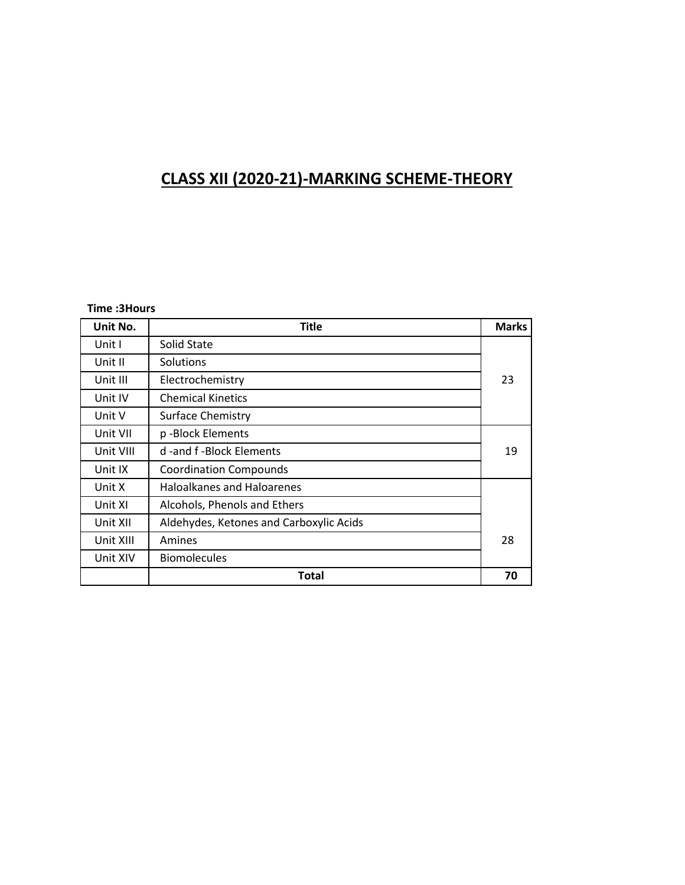# **CLASS XII (2020‐21)-MARKING SCHEME-THEORY**

#### **Time :3Hours**

| Unit No.  | <b>Title</b>                            | <b>Marks</b> |
|-----------|-----------------------------------------|--------------|
| Unit I    | Solid State                             |              |
| Unit II   | <b>Solutions</b>                        |              |
| Unit III  | 23<br>Electrochemistry                  |              |
| Unit IV   | <b>Chemical Kinetics</b>                |              |
| Unit V    | <b>Surface Chemistry</b>                |              |
| Unit VII  | p-Block Elements                        |              |
| Unit VIII | d -and f -Block Elements                | 19           |
| Unit IX   | <b>Coordination Compounds</b>           |              |
| Unit X    | <b>Haloalkanes and Haloarenes</b>       |              |
| Unit XI   | Alcohols, Phenols and Ethers            |              |
| Unit XII  | Aldehydes, Ketones and Carboxylic Acids |              |
| Unit XIII | Amines                                  | 28           |
| Unit XIV  | <b>Biomolecules</b>                     |              |
|           | Total                                   | 70           |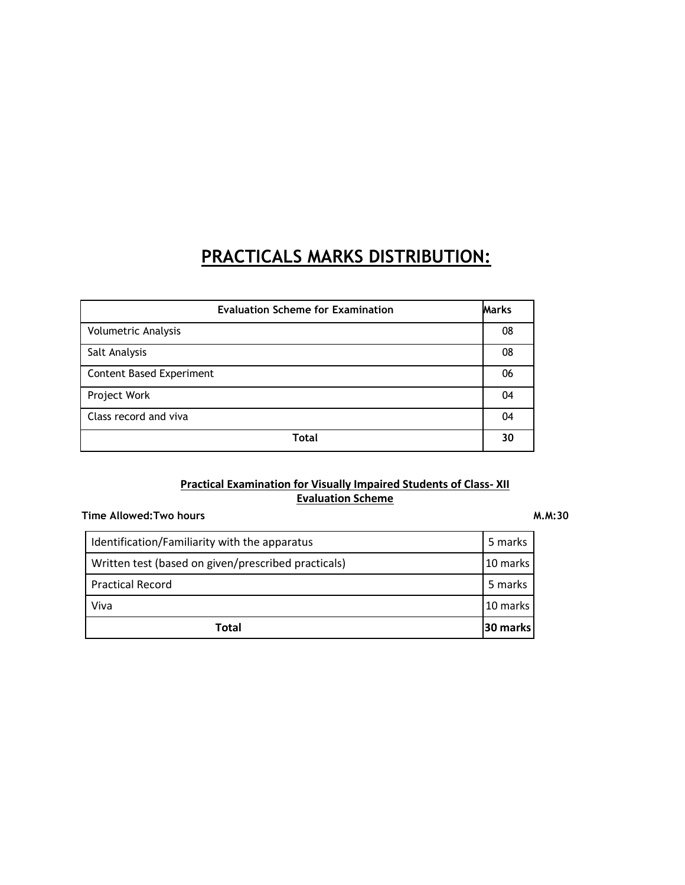# **PRACTICALS MARKS DISTRIBUTION:**

| <b>Marks</b><br><b>Evaluation Scheme for Examination</b> |    |
|----------------------------------------------------------|----|
| <b>Volumetric Analysis</b>                               |    |
| Salt Analysis                                            |    |
| <b>Content Based Experiment</b>                          |    |
| Project Work                                             |    |
| Class record and viva                                    |    |
| <b>Total</b>                                             | 30 |

#### **Practical Examination for Visually Impaired Students of Class- XII Evaluation Scheme**

| Time Allowed:Two hours | M.M:30 |
|------------------------|--------|
|                        |        |

| Total                                                           | 30 marks |  |
|-----------------------------------------------------------------|----------|--|
| Viva                                                            | 10 marks |  |
| <b>Practical Record</b>                                         | 5 marks  |  |
| Written test (based on given/prescribed practicals)<br>10 marks |          |  |
| Identification/Familiarity with the apparatus                   |          |  |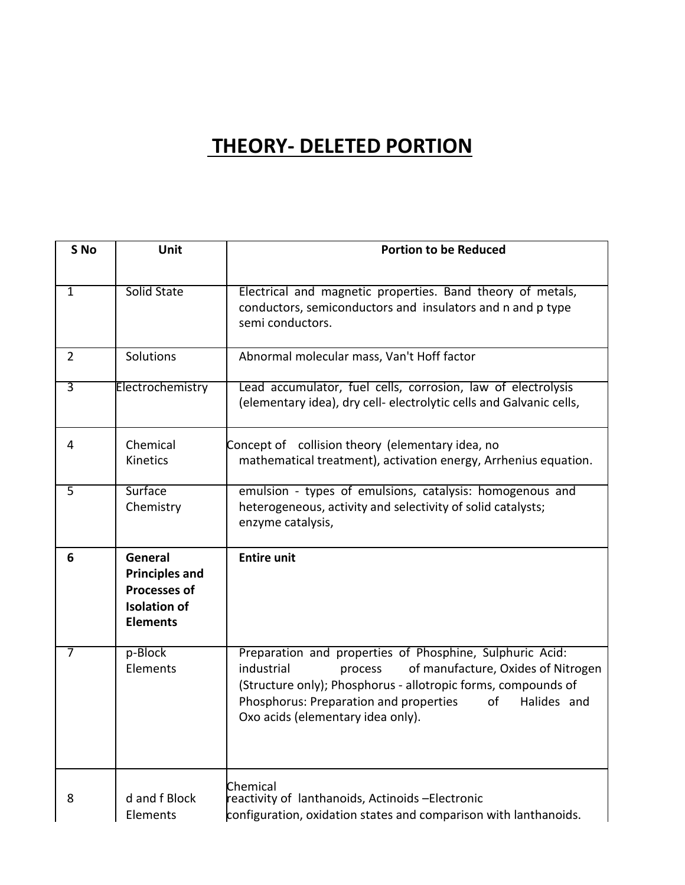# **THEORY- DELETED PORTION**

| S <sub>No</sub> | Unit                                                                                              | <b>Portion to be Reduced</b>                                                                                                                                                                                                                                                                 |
|-----------------|---------------------------------------------------------------------------------------------------|----------------------------------------------------------------------------------------------------------------------------------------------------------------------------------------------------------------------------------------------------------------------------------------------|
|                 |                                                                                                   |                                                                                                                                                                                                                                                                                              |
| 1               | Solid State                                                                                       | Electrical and magnetic properties. Band theory of metals,<br>conductors, semiconductors and insulators and n and p type<br>semi conductors.                                                                                                                                                 |
| $\overline{2}$  | Solutions                                                                                         | Abnormal molecular mass, Van't Hoff factor                                                                                                                                                                                                                                                   |
| $\overline{3}$  | Electrochemistry                                                                                  | Lead accumulator, fuel cells, corrosion, law of electrolysis<br>(elementary idea), dry cell- electrolytic cells and Galvanic cells,                                                                                                                                                          |
| $\overline{4}$  | Chemical<br><b>Kinetics</b>                                                                       | Concept of collision theory (elementary idea, no<br>mathematical treatment), activation energy, Arrhenius equation.                                                                                                                                                                          |
| 5               | Surface<br>Chemistry                                                                              | emulsion - types of emulsions, catalysis: homogenous and<br>heterogeneous, activity and selectivity of solid catalysts;<br>enzyme catalysis,                                                                                                                                                 |
| 6               | General<br><b>Principles and</b><br><b>Processes of</b><br><b>Isolation of</b><br><b>Elements</b> | <b>Entire unit</b>                                                                                                                                                                                                                                                                           |
| 7               | p-Block<br>Elements                                                                               | Preparation and properties of Phosphine, Sulphuric Acid:<br>industrial<br>of manufacture, Oxides of Nitrogen<br>process<br>(Structure only); Phosphorus - allotropic forms, compounds of<br>Phosphorus: Preparation and properties<br>of<br>Halides and<br>Oxo acids (elementary idea only). |
| 8               | d and f Block<br>Elements                                                                         | Chemical<br>reactivity of lanthanoids, Actinoids -Electronic<br>configuration, oxidation states and comparison with lanthanoids.                                                                                                                                                             |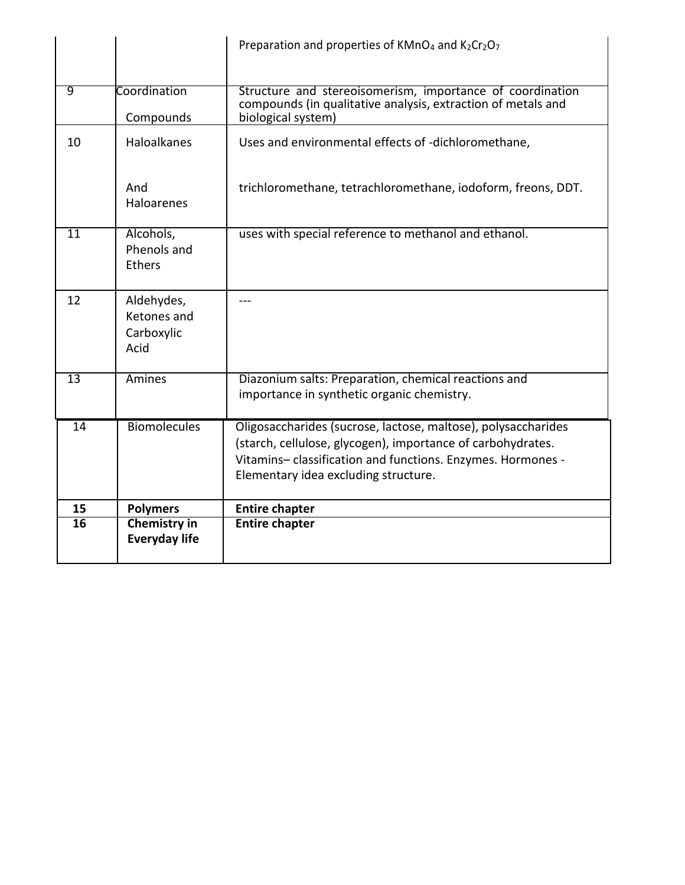|                 |                                                 | Preparation and properties of KMnO <sub>4</sub> and K <sub>2</sub> Cr <sub>2</sub> O <sub>7</sub>                                                                                                                                  |
|-----------------|-------------------------------------------------|------------------------------------------------------------------------------------------------------------------------------------------------------------------------------------------------------------------------------------|
| 9               | Coordination<br>Compounds                       | Structure and stereoisomerism, importance of coordination<br>compounds (in qualitative analysis, extraction of metals and<br>biological system)                                                                                    |
| 10              | <b>Haloalkanes</b>                              | Uses and environmental effects of -dichloromethane,                                                                                                                                                                                |
|                 | And<br>Haloarenes                               | trichloromethane, tetrachloromethane, iodoform, freons, DDT.                                                                                                                                                                       |
| 11              | Alcohols,<br>Phenols and<br><b>Ethers</b>       | uses with special reference to methanol and ethanol.                                                                                                                                                                               |
| 12              | Aldehydes,<br>Ketones and<br>Carboxylic<br>Acid |                                                                                                                                                                                                                                    |
| $\overline{13}$ | <b>Amines</b>                                   | Diazonium salts: Preparation, chemical reactions and<br>importance in synthetic organic chemistry.                                                                                                                                 |
| 14              | <b>Biomolecules</b>                             | Oligosaccharides (sucrose, lactose, maltose), polysaccharides<br>(starch, cellulose, glycogen), importance of carbohydrates.<br>Vitamins-classification and functions. Enzymes. Hormones -<br>Elementary idea excluding structure. |
| 15              | <b>Polymers</b>                                 | <b>Entire chapter</b>                                                                                                                                                                                                              |
| 16              | <b>Chemistry in</b><br><b>Everyday life</b>     | <b>Entire chapter</b>                                                                                                                                                                                                              |